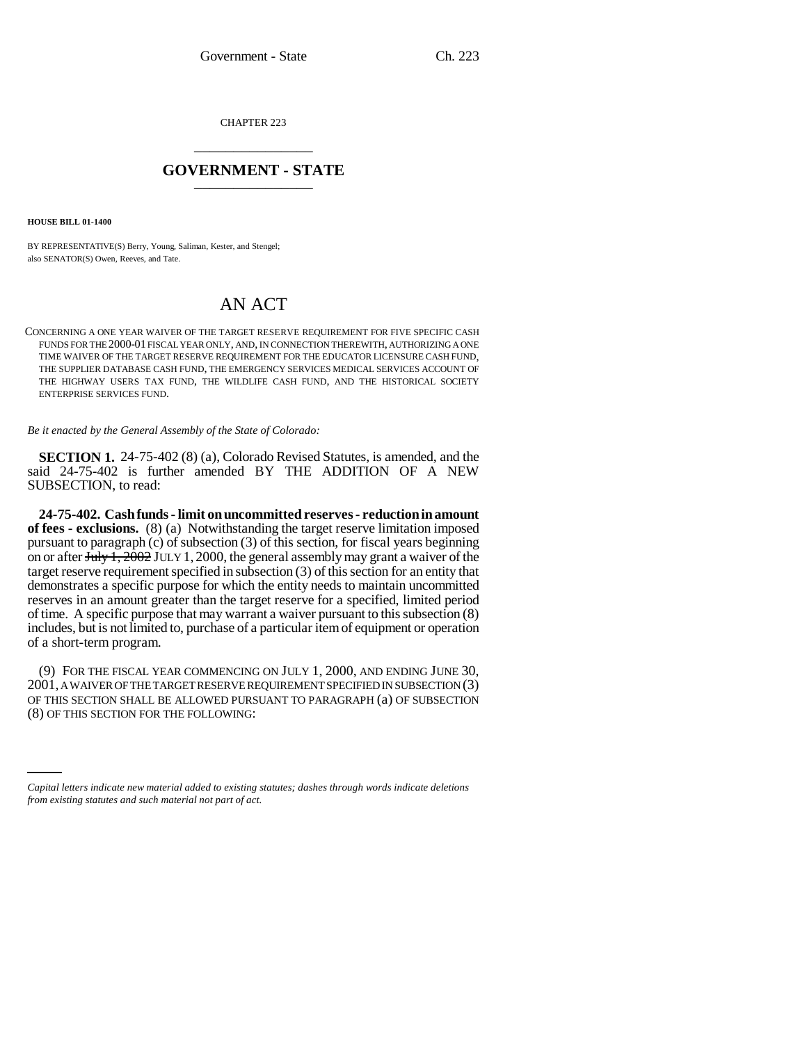CHAPTER 223 \_\_\_\_\_\_\_\_\_\_\_\_\_\_\_

## **GOVERNMENT - STATE** \_\_\_\_\_\_\_\_\_\_\_\_\_\_\_

**HOUSE BILL 01-1400**

BY REPRESENTATIVE(S) Berry, Young, Saliman, Kester, and Stengel; also SENATOR(S) Owen, Reeves, and Tate.

## AN ACT

CONCERNING A ONE YEAR WAIVER OF THE TARGET RESERVE REQUIREMENT FOR FIVE SPECIFIC CASH FUNDS FOR THE 2000-01 FISCAL YEAR ONLY, AND, IN CONNECTION THEREWITH, AUTHORIZING A ONE TIME WAIVER OF THE TARGET RESERVE REQUIREMENT FOR THE EDUCATOR LICENSURE CASH FUND, THE SUPPLIER DATABASE CASH FUND, THE EMERGENCY SERVICES MEDICAL SERVICES ACCOUNT OF THE HIGHWAY USERS TAX FUND, THE WILDLIFE CASH FUND, AND THE HISTORICAL SOCIETY ENTERPRISE SERVICES FUND.

*Be it enacted by the General Assembly of the State of Colorado:*

**SECTION 1.** 24-75-402 (8) (a), Colorado Revised Statutes, is amended, and the said 24-75-402 is further amended BY THE ADDITION OF A NEW SUBSECTION, to read:

**24-75-402. Cash funds - limit on uncommitted reserves - reduction in amount of fees - exclusions.** (8) (a) Notwithstanding the target reserve limitation imposed pursuant to paragraph (c) of subsection (3) of this section, for fiscal years beginning on or after  $\overline{\text{July 1, 2002}}$  JULY 1, 2000, the general assembly may grant a waiver of the target reserve requirement specified in subsection (3) of this section for an entity that demonstrates a specific purpose for which the entity needs to maintain uncommitted reserves in an amount greater than the target reserve for a specified, limited period of time. A specific purpose that may warrant a waiver pursuant to this subsection (8) includes, but is not limited to, purchase of a particular item of equipment or operation of a short-term program.

OF THIS SECTION SHALL BE ALLOWED PURSUANT TO PARAGRAPH (a) OF SUBSECTION (9) FOR THE FISCAL YEAR COMMENCING ON JULY 1, 2000, AND ENDING JUNE 30, 2001, A WAIVER OF THE TARGET RESERVE REQUIREMENT SPECIFIED IN SUBSECTION (3) (8) OF THIS SECTION FOR THE FOLLOWING:

*Capital letters indicate new material added to existing statutes; dashes through words indicate deletions from existing statutes and such material not part of act.*